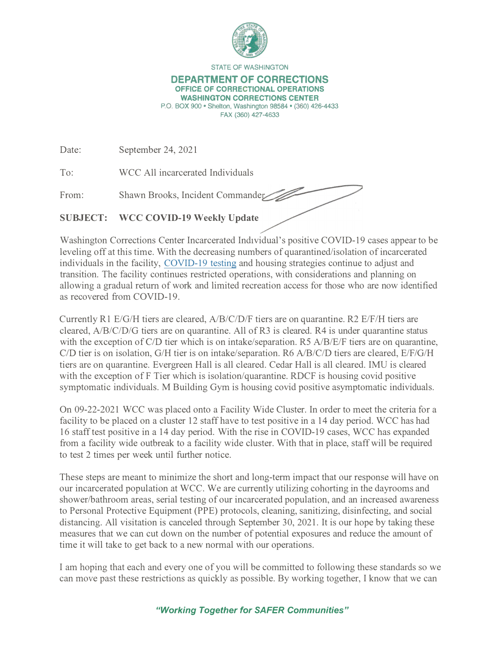

**STATE OF WASHINGTON** 

## **DEPARTMENT OF CORRECTIONS OFFICE OF CORRECTIONAL OPERATIONS WASHINGTON CORRECTIONS CENTER**

**P.O. BOX 900 • Shelton, Washington 98584 • (360) 426-4433 FAX (360) 427-4633** 

Date: September 24, 2021

To: WCC All incarcerated Individuals

From: Shawn Brooks, Incident Commander

**SUBJECT: WCC COVID-19 Weekly Update** 

Washington Corrections Center Incarcerated Individual's positive COVID-19 cases appear to be leveling off at this time. With the decreasing numbers of quarantined/isolation of incarcerated individuals in the facility, COVID-19 testing and housing strategies continue to adjust and transition. The facility continues restricted operations, with considerations and planning on allowing a gradual return of work and limited recreation access for those who are now identified as recovered from COVID-19.

 $\smash{\smash{\boldsymbol{\mathscr{S}}}}$ 

Currently Rl E/G/H tiers are cleared, A/B/C/D/F tiers are on quarantine. R2 E/F/H tiers are cleared, A/B/C/D/G tiers are on quarantine. All of R3 is cleared. R4 is under quarantine status with the exception of *C*/D tier which is on intake/separation. R5 A/B/E/F tiers are on quarantine, *CID* tier is on isolation, G/H tier is on intake/separation. R6 A/B/C/D tiers are cleared, E/F/G/H tiers are on quarantine. Evergreen Hall is all cleared. Cedar Hall is all cleared. IMU is cleared with the exception of F Tier which is isolation/quarantine. RDCF is housing covid positive symptomatic individuals. M Building Gym is housing covid positive asymptomatic individuals.

On 09-22-2021 WCC was placed onto a Facility Wide Cluster. In order to meet the criteria for a facility to be placed on a cluster 12 staff have to test positive in a 14 day period. WCC has had 16 staff test positive in a 14 day period. With the rise in COVID-19 cases, WCC has expanded from a facility wide outbreak to a facility wide cluster. With that in place, staff will be required to test 2 times per week until further notice.

These steps are meant to minimize the short and long-term impact that our response will have on our incarcerated population at WCC. We are currently utilizing cohorting in the dayrooms and shower/bathroom areas, serial testing of our incarcerated population, and an increased awareness to Personal Protective Equipment (PPE) protocols, cleaning, sanitizing, disinfecting, and social distancing. All visitation is canceled through September 30, 2021. It is our hope by taking these measures that we can cut down on the number of potential exposures and reduce the amount of time it will take to get back to a new normal with our operations.

I am hoping that each and every one of you will be committed to following these standards so we can move past these restrictions as quickly as possible. By working together, I know that we can

*"Working Together for SAFER Communities"*